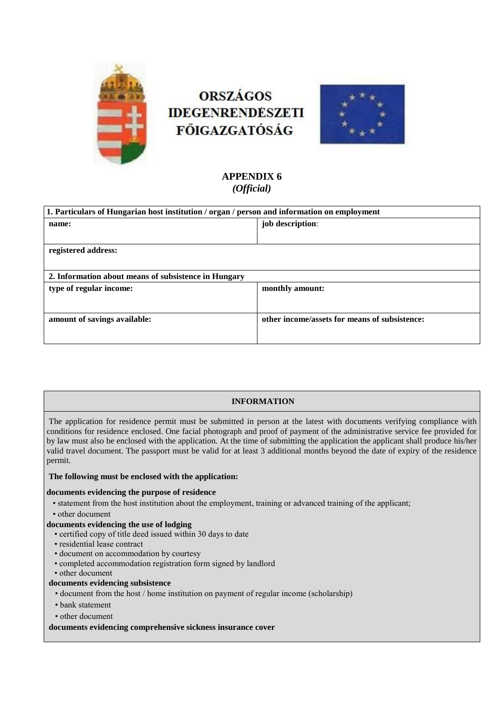

# **ORSZÁGOS IDEGENRENDESZETI FŐIGAZGATÓSÁG**



## **APPENDIX 6** *(Official)*

| 1. Particulars of Hungarian host institution / organ / person and information on employment |                                               |
|---------------------------------------------------------------------------------------------|-----------------------------------------------|
| name:                                                                                       | job description:                              |
|                                                                                             |                                               |
| registered address:                                                                         |                                               |
|                                                                                             |                                               |
| 2. Information about means of subsistence in Hungary                                        |                                               |
| type of regular income:                                                                     | monthly amount:                               |
|                                                                                             |                                               |
| amount of savings available:                                                                | other income/assets for means of subsistence: |
|                                                                                             |                                               |

### **INFORMATION**

The application for residence permit must be submitted in person at the latest with documents verifying compliance with conditions for residence enclosed. One facial photograph and proof of payment of the administrative service fee provided for by law must also be enclosed with the application. At the time of submitting the application the applicant shall produce his/her valid travel document. The passport must be valid for at least 3 additional months beyond the date of expiry of the residence permit.

#### **The following must be enclosed with the application:**

#### **documents evidencing the purpose of residence**

- statement from the host institution about the employment, training or advanced training of the applicant;
- other document

#### **documents evidencing the use of lodging**

- certified copy of title deed issued within 30 days to date
- residential lease contract
- document on accommodation by courtesy
- completed accommodation registration form signed by landlord
- other document

#### **documents evidencing subsistence**

- document from the host / home institution on payment of regular income (scholarship)
- bank statement
- other document

#### **documents evidencing comprehensive sickness insurance cover**